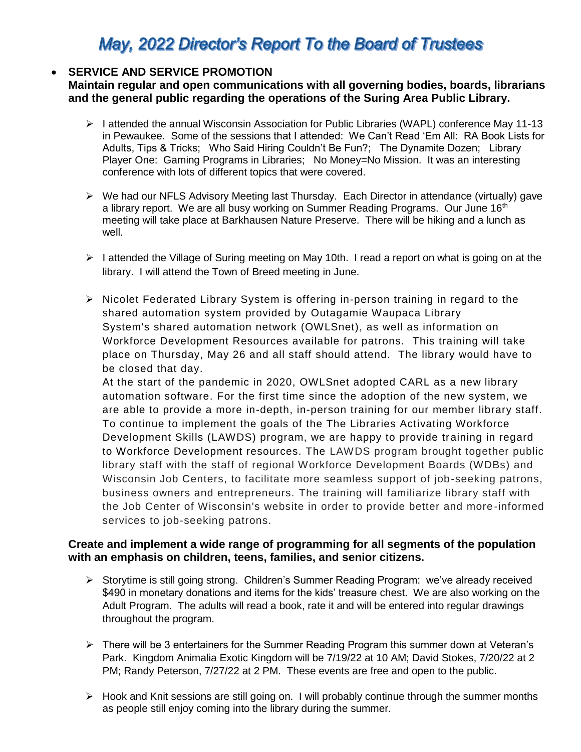# May, 2022 Director's Report To the Board of Trustees

# **SERVICE AND SERVICE PROMOTION**

**Maintain regular and open communications with all governing bodies, boards, librarians and the general public regarding the operations of the Suring Area Public Library.**

- $\triangleright$  I attended the annual Wisconsin Association for Public Libraries (WAPL) conference May 11-13 in Pewaukee. Some of the sessions that I attended: We Can't Read 'Em All: RA Book Lists for Adults, Tips & Tricks; Who Said Hiring Couldn't Be Fun?; The Dynamite Dozen; Library Player One: Gaming Programs in Libraries; No Money=No Mission. It was an interesting conference with lots of different topics that were covered.
- $\triangleright$  We had our NFLS Advisory Meeting last Thursday. Each Director in attendance (virtually) gave a library report. We are all busy working on Summer Reading Programs. Our June  $16<sup>th</sup>$ meeting will take place at Barkhausen Nature Preserve. There will be hiking and a lunch as well.
- $\triangleright$  I attended the Village of Suring meeting on May 10th. I read a report on what is going on at the library. I will attend the Town of Breed meeting in June.
- $\triangleright$  Nicolet Federated Library System is offering in-person training in regard to the shared automation system provided by Outagamie Waupaca Library System's shared automation network (OWLSnet), as well as information on Workforce Development Resources available for patrons. This training will take place on Thursday, May 26 and all staff should attend. The library would have to be closed that day.

At the start of the pandemic in 2020, OWLSnet adopted CARL as a new library automation software. For the first time since the adoption of the new system, we are able to provide a more in-depth, in-person training for our member library staff. To continue to implement the goals of the The Libraries Activating Workforce Development Skills (LAWDS) program, we are happy to provide training in regard to Workforce Development resources. The LAWDS program brought together public library staff with the staff of regional Workforce Development Boards (WDBs) and Wisconsin Job Centers, to facilitate more seamless support of job-seeking patrons, business owners and entrepreneurs. The training will familiarize library staff with the Job Center of Wisconsin's website in order to provide better and more-informed services to job-seeking patrons.

#### **Create and implement a wide range of programming for all segments of the population with an emphasis on children, teens, families, and senior citizens.**

- Storytime is still going strong. Children's Summer Reading Program: we've already received \$490 in monetary donations and items for the kids' treasure chest. We are also working on the Adult Program. The adults will read a book, rate it and will be entered into regular drawings throughout the program.
- $\triangleright$  There will be 3 entertainers for the Summer Reading Program this summer down at Veteran's Park. Kingdom Animalia Exotic Kingdom will be 7/19/22 at 10 AM; David Stokes, 7/20/22 at 2 PM; Randy Peterson, 7/27/22 at 2 PM. These events are free and open to the public.
- $\triangleright$  Hook and Knit sessions are still going on. I will probably continue through the summer months as people still enjoy coming into the library during the summer.